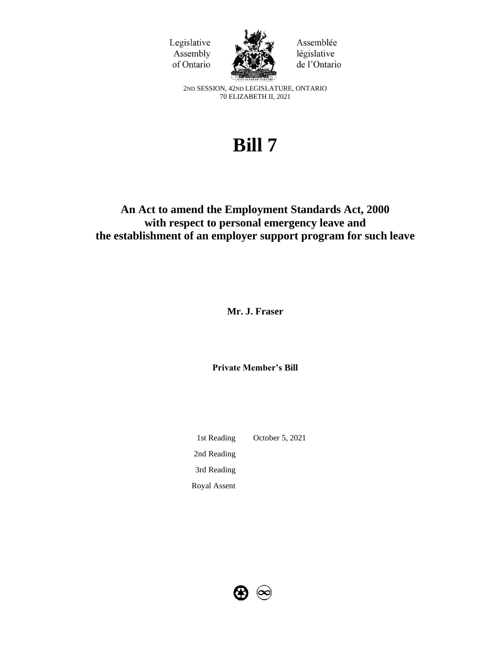



Assemblée législative de l'Ontario

2ND SESSION, 42ND LEGISLATURE, ONTARIO 70 ELIZABETH II, 2021

# **Bill 7**

# **An Act to amend the Employment Standards Act, 2000 with respect to personal emergency leave and the establishment of an employer support program for such leave**

**Mr. J. Fraser**

**Private Member's Bill**

1st Reading October 5, 2021 2nd Reading 3rd Reading Royal Assent

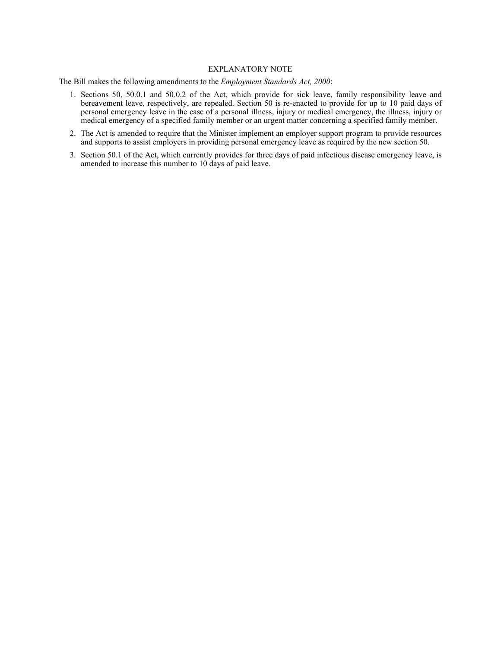#### EXPLANATORY NOTE

The Bill makes the following amendments to the *Employment Standards Act, 2000*:

- 1. Sections 50, 50.0.1 and 50.0.2 of the Act, which provide for sick leave, family responsibility leave and bereavement leave, respectively, are repealed. Section 50 is re-enacted to provide for up to 10 paid days of personal emergency leave in the case of a personal illness, injury or medical emergency, the illness, injury or medical emergency of a specified family member or an urgent matter concerning a specified family member.
- 2. The Act is amended to require that the Minister implement an employer support program to provide resources and supports to assist employers in providing personal emergency leave as required by the new section 50.
- 3. Section 50.1 of the Act, which currently provides for three days of paid infectious disease emergency leave, is amended to increase this number to 10 days of paid leave.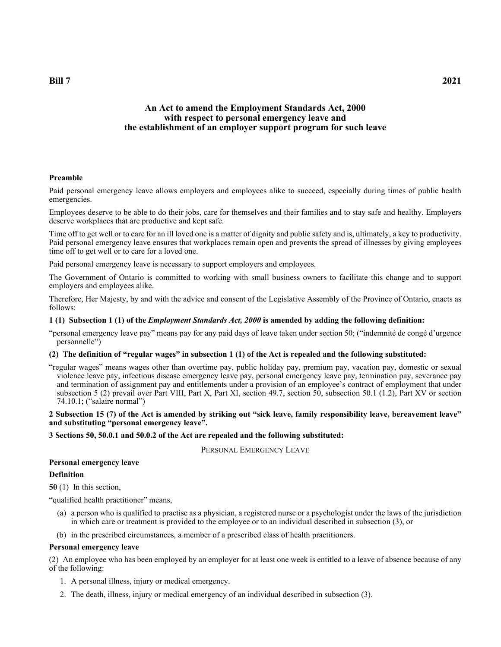# **An Act to amend the Employment Standards Act, 2000 with respect to personal emergency leave and the establishment of an employer support program for such leave**

## **Preamble**

Paid personal emergency leave allows employers and employees alike to succeed, especially during times of public health emergencies.

Employees deserve to be able to do their jobs, care for themselves and their families and to stay safe and healthy. Employers deserve workplaces that are productive and kept safe.

Time off to get well or to care for an ill loved one is a matter of dignity and public safety and is, ultimately, a key to productivity. Paid personal emergency leave ensures that workplaces remain open and prevents the spread of illnesses by giving employees time off to get well or to care for a loved one.

Paid personal emergency leave is necessary to support employers and employees.

The Government of Ontario is committed to working with small business owners to facilitate this change and to support employers and employees alike.

Therefore, Her Majesty, by and with the advice and consent of the Legislative Assembly of the Province of Ontario, enacts as follows:

#### **1 (1) Subsection 1 (1) of the** *Employment Standards Act, 2000* **is amended by adding the following definition:**

"personal emergency leave pay" means pay for any paid days of leave taken under section 50; ("indemnité de congé d'urgence personnelle")

# **(2) The definition of "regular wages" in subsection 1 (1) of the Act is repealed and the following substituted:**

"regular wages" means wages other than overtime pay, public holiday pay, premium pay, vacation pay, domestic or sexual violence leave pay, infectious disease emergency leave pay, personal emergency leave pay, termination pay, severance pay and termination of assignment pay and entitlements under a provision of an employee's contract of employment that under subsection 5 (2) prevail over Part VIII, Part X, Part XI, section 49.7, section 50, subsection 50.1 (1.2), Part XV or section 74.10.1; ("salaire normal")

#### **2 Subsection 15 (7) of the Act is amended by striking out "sick leave, family responsibility leave, bereavement leave" and substituting "personal emergency leave".**

**3 Sections 50, 50.0.1 and 50.0.2 of the Act are repealed and the following substituted:**

PERSONAL EMERGENCY LEAVE

#### **Personal emergency leave**

#### **Definition**

**50** (1) In this section,

"qualified health practitioner" means,

- (a) a person who is qualified to practise as a physician, a registered nurse or a psychologist under the laws of the jurisdiction in which care or treatment is provided to the employee or to an individual described in subsection (3), or
- (b) in the prescribed circumstances, a member of a prescribed class of health practitioners.

#### **Personal emergency leave**

(2) An employee who has been employed by an employer for at least one week is entitled to a leave of absence because of any of the following:

- 1. A personal illness, injury or medical emergency.
- 2. The death, illness, injury or medical emergency of an individual described in subsection (3).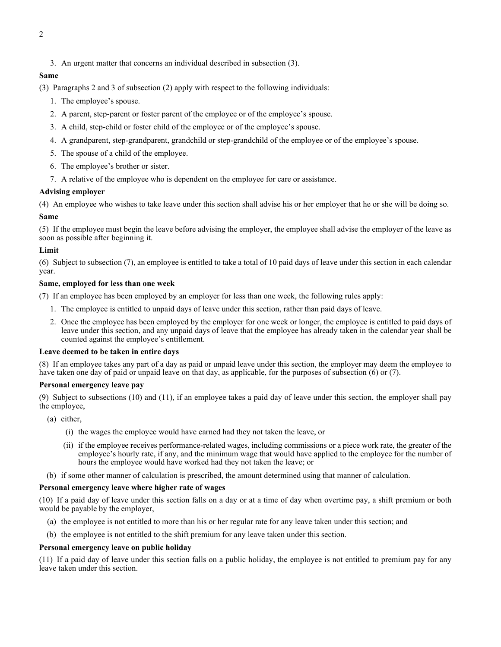3. An urgent matter that concerns an individual described in subsection (3).

# **Same**

(3) Paragraphs 2 and 3 of subsection (2) apply with respect to the following individuals:

- 1. The employee's spouse.
- 2. A parent, step-parent or foster parent of the employee or of the employee's spouse.
- 3. A child, step-child or foster child of the employee or of the employee's spouse.
- 4. A grandparent, step-grandparent, grandchild or step-grandchild of the employee or of the employee's spouse.
- 5. The spouse of a child of the employee.
- 6. The employee's brother or sister.
- 7. A relative of the employee who is dependent on the employee for care or assistance.

# **Advising employer**

(4) An employee who wishes to take leave under this section shall advise his or her employer that he or she will be doing so.

# **Same**

(5) If the employee must begin the leave before advising the employer, the employee shall advise the employer of the leave as soon as possible after beginning it.

# **Limit**

(6) Subject to subsection (7), an employee is entitled to take a total of 10 paid days of leave under this section in each calendar year.

# **Same, employed for less than one week**

(7) If an employee has been employed by an employer for less than one week, the following rules apply:

- 1. The employee is entitled to unpaid days of leave under this section, rather than paid days of leave.
- 2. Once the employee has been employed by the employer for one week or longer, the employee is entitled to paid days of leave under this section, and any unpaid days of leave that the employee has already taken in the calendar year shall be counted against the employee's entitlement.

# **Leave deemed to be taken in entire days**

(8) If an employee takes any part of a day as paid or unpaid leave under this section, the employer may deem the employee to have taken one day of paid or unpaid leave on that day, as applicable, for the purposes of subsection (6) or (7).

# **Personal emergency leave pay**

(9) Subject to subsections (10) and (11), if an employee takes a paid day of leave under this section, the employer shall pay the employee,

- (a) either,
	- (i) the wages the employee would have earned had they not taken the leave, or
	- (ii) if the employee receives performance-related wages, including commissions or a piece work rate, the greater of the employee's hourly rate, if any, and the minimum wage that would have applied to the employee for the number of hours the employee would have worked had they not taken the leave; or
- (b) if some other manner of calculation is prescribed, the amount determined using that manner of calculation.

# **Personal emergency leave where higher rate of wages**

(10) If a paid day of leave under this section falls on a day or at a time of day when overtime pay, a shift premium or both would be payable by the employer,

- (a) the employee is not entitled to more than his or her regular rate for any leave taken under this section; and
- (b) the employee is not entitled to the shift premium for any leave taken under this section.

# **Personal emergency leave on public holiday**

(11) If a paid day of leave under this section falls on a public holiday, the employee is not entitled to premium pay for any leave taken under this section.